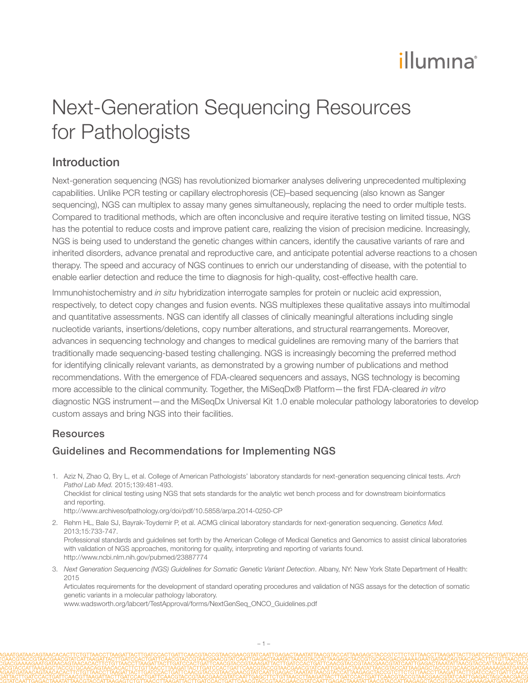# illumina®

## Next-Generation Sequencing Resources for Pathologists

### Introduction

Next-generation sequencing (NGS) has revolutionized biomarker analyses delivering unprecedented multiplexing capabilities. Unlike PCR testing or capillary electrophoresis (CE)–based sequencing (also known as Sanger sequencing), NGS can multiplex to assay many genes simultaneously, replacing the need to order multiple tests. Compared to traditional methods, which are often inconclusive and require iterative testing on limited tissue, NGS has the potential to reduce costs and improve patient care, realizing the vision of precision medicine. Increasingly, NGS is being used to understand the genetic changes within cancers, identify the causative variants of rare and inherited disorders, advance prenatal and reproductive care, and anticipate potential adverse reactions to a chosen therapy. The speed and accuracy of NGS continues to enrich our understanding of disease, with the potential to enable earlier detection and reduce the time to diagnosis for high-quality, cost-effective health care.

Immunohistochemistry and *in situ* hybridization interrogate samples for protein or nucleic acid expression, respectively, to detect copy changes and fusion events. NGS multiplexes these qualitative assays into multimodal and quantitative assessments. NGS can identify all classes of clinically meaningful alterations including single nucleotide variants, insertions/deletions, copy number alterations, and structural rearrangements. Moreover, advances in sequencing technology and changes to medical guidelines are removing many of the barriers that traditionally made sequencing-based testing challenging. NGS is increasingly becoming the preferred method for identifying clinically relevant variants, as demonstrated by a growing number of publications and method recommendations. With the emergence of FDA-cleared sequencers and assays, NGS technology is becoming more accessible to the clinical community. Together, the MiSeqDx® Platform—the first FDA-cleared *in vitro*  diagnostic NGS instrument—and the MiSeqDx Universal Kit 1.0 enable molecular pathology laboratories to develop custom assays and bring NGS into their facilities.

### **Resources**

### Guidelines and Recommendations for Implementing NGS

1. [Aziz N, Zhao Q, Bry L, et al. College of American Pathologists' laboratory standards for next-generation sequencing clinical tests.](http://www.ncbi.nlm.nih.gov/pubmed/25152313) *Arch Pathol Lab Med.* [2015;139:481-493.](http://www.ncbi.nlm.nih.gov/pubmed/25152313) Checklist for clinical testing using NGS that sets standards for the analytic wet bench process and for downstream bioinformatics and reporting. http://www.archivesofpathology.org/doi/pdf/10.5858/arpa.2014-0250-CP

2. [Rehm HL, Bale SJ, Bayrak-Toydemir P, et al. ACMG clinical laboratory standards for next-generation sequencing.](http://www.ncbi.nlm.nih.gov/pubmed/23887774) *Genetics Med.* [2013;15:733-747.](http://www.ncbi.nlm.nih.gov/pubmed/23887774)

Professional standards and guidelines set forth by the American College of Medical Genetics and Genomics to assist clinical laboratories with validation of NGS approaches, monitoring for quality, interpreting and reporting of variants found. http://www.ncbi.nlm.nih.gov/pubmed/23887774

3. *Next Generation Sequencing (NGS) Guidelines for Somatic Genetic Variant Detection*. Albany, NY: New York State Department of Health: 2015

Articulates requirements for the development of standard operating procedures and validation of NGS assays for the detection of somatic genetic variants in a molecular pathology laboratory.

www.wadsworth.org/labcert/TestApproval/forms/NextGenSeq\_ONCO\_Guidelines.pdf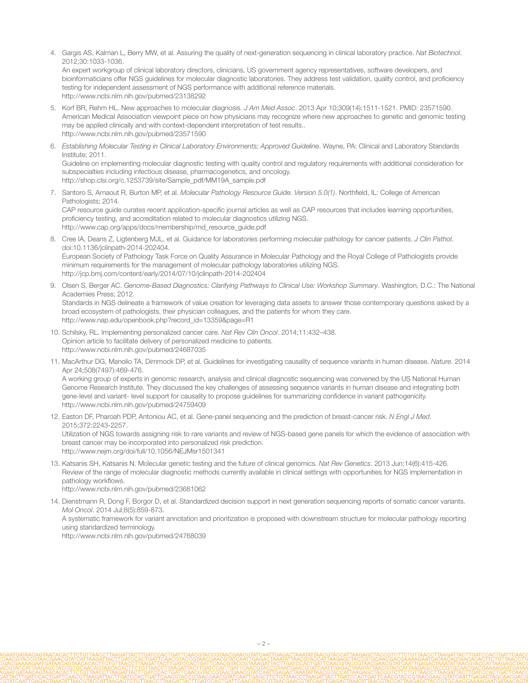4. Gargis AS, Kalman L, Berry MW, et al. Assuring the quality of next-generation sequencing in clinical laboratory practice. *Nat Biotechnol*. 2012;30:1033-1036. An expert workgroup of clinical laboratory directors, clinicians, US government agency representatives, software developers, and

bioinformaticians offer NGS guidelines for molecular diagnostic laboratories. They address test validation, quality control, and proficiency testing for independent assessment of NGS performance with additional reference materials. http://www.ncbi.nlm.nih.gov/pubmed/23138292

- 5. Korf BR, Rehm HL. New approaches to molecular diagnosis. *J Am Med Assoc*. 2013 Apr 10;309(14):1511-1521. PMID: 23571590. American Medical Association viewpoint piece on how physicians may recognize where new approaches to genetic and genomic testing may be applied clinically and with context-dependent interpretation of test results.. http://www.ncbi.nlm.nih.gov/pubmed/23571590
- 6. *Establishing Molecular Testing in Clinical Laboratory Environments; Approved Guideline*. Wayne, PA: Clinical and Laboratory Standards Institute; 2011. Guideline on implementing molecular diagnostic testing with quality control and regulatory requirements with additional consideration for subspecialties including infectious disease, pharmacogenetics, and oncology. http://shop.clsi.org/c.1253739/site/Sample\_pdf/MM19A\_sample.pdf
- 7. Santoro S, Arnaout R, Burton MP, et al. *Molecular Pathology Resource Guide. Version 5.0(1)*. Northfield, IL: College of American Pathologists; 2014. CAP resource guide curates recent application-specific journal articles as well as CAP resources that includes learning opportunities, proficiency testing, and accreditation related to molecular diagnostics utilizing NGS. http://www.cap.org/apps/docs/membership/md\_resource\_guide.pdf
- 8. Cree IA, Deans Z, Ligtenberg MJL, et al. Guidance for laboratories performing molecular pathology for cancer patients. *J Clin Pathol*. doi:10.1136/jclinpath-2014-202404. European Society of Pathology Task Force on Quality Assurance in Molecular Pathology and the Royal College of Pathologists provide minimum requirements for the management of molecular pathology laboratories utilizing NGS. http://jcp.bmj.com/content/early/2014/07/10/jclinpath-2014-202404
- 9. Olsen S, Berger AC. *Genome-Based Diagnostics: Clarifying Pathways to Clinical Use: Workshop Summary*. Washington, D.C.: The National Academies Press; 2012. Standards in NGS delineate a framework of value creation for leveraging data assets to answer those contemporary questions asked by a broad ecosystem of pathologists, their physician colleagues, and the patients for whom they care. http://www.nap.edu/openbook.php?record\_id=13359&page=R1
- 10. Schilsky, RL. Implementing personalized cancer care. *Nat Rev Clin Oncol*. 2014;11:432–438. Opinion article to facilitate delivery of personalized medicine to patients. http://www.ncbi.nlm.nih.gov/pubmed/24687035
- 11. MacArthur DG, Manolio TA, Dimmock DP, et al. Guidelines for investigating causality of sequence variants in human disease. *Nature*. 2014 Apr 24;508(7497):469-476.

A working group of experts in genomic research, analysis and clinical diagnostic sequencing was convened by the US National Human Genome Research Institute. They discussed the key challenges of assessing sequence variants in human disease and integrating both gene-level and variant- level support for causality to propose guidelines for summarizing confidence in variant pathogenicity. http://www.ncbi.nlm.nih.gov/pubmed/24759409

12. Easton DF, Pharoah PDP, Antoniou AC, et al. Gene-panel sequencing and the prediction of breast-cancer risk. *N Engl J Med*. 2015;372:2243-2257.

Utilization of NGS towards assigning risk to rare variants and review of NGS-based gene panels for which the evidence of association with breast cancer may be incorporated into personalized risk prediction. http://www.nejm.org/doi/full/10.1056/NEJMsr1501341

13. Katsanis SH, Katsanis N. Molecular genetic testing and the future of clinical genomics. *Nat Rev Genetics*. 2013 Jun;14(6):415-426. Review of the range of molecular diagnostic methods currently available in clinical settings with opportunities for NGS implementation in pathology workflows.

http://www.ncbi.nlm.nih.gov/pubmed/23681062

14. Dienstmann R, Dong F, Borgor D, et al. Standardized decision support in next generation sequencing reports of somatic cancer variants. *Mol Oncol*. 2014 Jul;8(5):859-873.

A systematic framework for variant annotation and prioritization is proposed with downstream structure for molecular pathology reporting using standardized terminology.

http://www.ncbi.nlm.nih.gov/pubmed/24768039